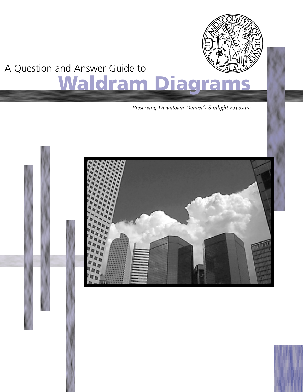

## A Question and Answer Guide to

# **Waldram Diagra**

### *Preserving Downtown Denver's Sunlight Exposure*

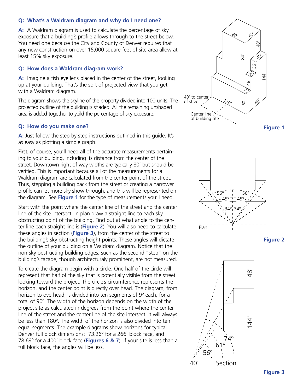#### **Q: What's a Waldram diagram and why do I need one?**

**A:** A Waldram diagram is used to calculate the percentage of sky exposure that a building's profile allows through to the street below. You need one because the City and County of Denver requires that any new construction on over 15,000 square feet of site area allow at least 15% sky exposure.

#### **Q: How does a Waldram diagram work?**

**A:** Imagine a fish eye lens placed in the center of the street, looking up at your building. That's the sort of projected view that you get with a Waldram diagram.

The diagram shows the skyline of the property divided into 100 units. The projected outline of the building is shaded. All the remaining unshaded area is added together to yeild the percentage of sky exposure.

#### **Q: How do you make one?**

**A:** Just follow the step by step instructions outlined in this guide. It's as easy as plotting a simple graph.

First, of course, you'll need all of the accurate measurements pertaining to your building, including its distance from the center of the street. Downtown right of way widths are typically 80' but should be verified. This is important because all of the measurements for a Waldram diagram are calculated from the center point of the street. Thus, stepping a building back from the street or creating a narrower profile can let more sky show through, and this will be represented on the diagram. See **Figure 1** for the type of measurements you'll need.

Start with the point where the center line of the street and the center line of the site intersect. In plan draw a straight line to each sky obstructing point of the building. Find out at what angle to the center line each straight line is (**Figure 2**). You will also need to calculate these angles in section (**Figure 3**), from the center of the street to the building's sky obstructing height points. These angles will dictate the outline of your building on a Waldram diagram. Notice that the non-sky obstructing building edges, such as the second "step" on the building's facade, though architecturaly prominent, are not measured.

To create the diagram begin with a circle. One half of the circle will represent that half of the sky that is potentially visible from the street looking toward the project. The circle's circumference represents the horizon, and the center point is directly over head. The diagram, from horizon to overhead, is divided into ten segments of 9° each, for a total of 90º. The width of the horizon depends on the width of the project site as calculated in degrees from the point where the center line of the street and the center line of the site intersect. It will always be less than 180º. The width of the horizon is also divided into ten equal segments. The example diagrams show horizons for typical Denver full block dimensions: 73.26º for a 266' block face, and 78.69º for a 400' block face (**Figures 6 & 7**). If your site is less than a full block face, the angles will be less.







**Figure 2**

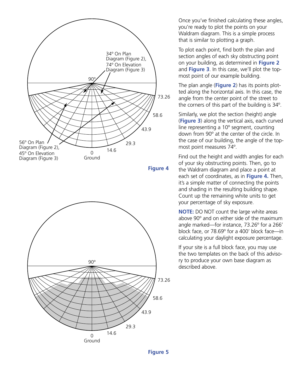



Once you've finished calculating these angles, you're ready to plot the points on your Waldram diagram. This is a simple process that is similar to plotting a graph.

To plot each point, find both the plan and section angles of each sky obstructing point on your building, as determined in **Figure 2** and **Figure 3**. In this case, we'll plot the topmost point of our example building.

The plan angle (**Figure 2**) has its points plotted along the horizontal axis. In this case, the angle from the center point of the street to the corners of this part of the building is 34º.

Similarly, we plot the section (height) angle (**Figure 3**) along the vertical axis, each curved line representing a 10º segment, counting down from 90º at the center of the circle. In the case of our building, the angle of the topmost point measures 74º.

Find out the height and width angles for each of your sky obstructing points. Then, go to the Waldram diagram and place a point at each set of coordinates, as in **Figure 4.** Then, it's a simple matter of connecting the points and shading in the resulting building shape. Count up the remaining white units to get your percentage of sky exposure.

**NOTE:** DO NOT count the large white areas above 90º and on either side of the maximum angle marked—for instance, 73.26º for a 266' block face, or 78.69º for a 400' block face—in calculating your daylight exposure percentage.

If your site is a full block face, you may use the two templates on the back of this advisory to produce your own base diagram as described above.

**Figure 5**